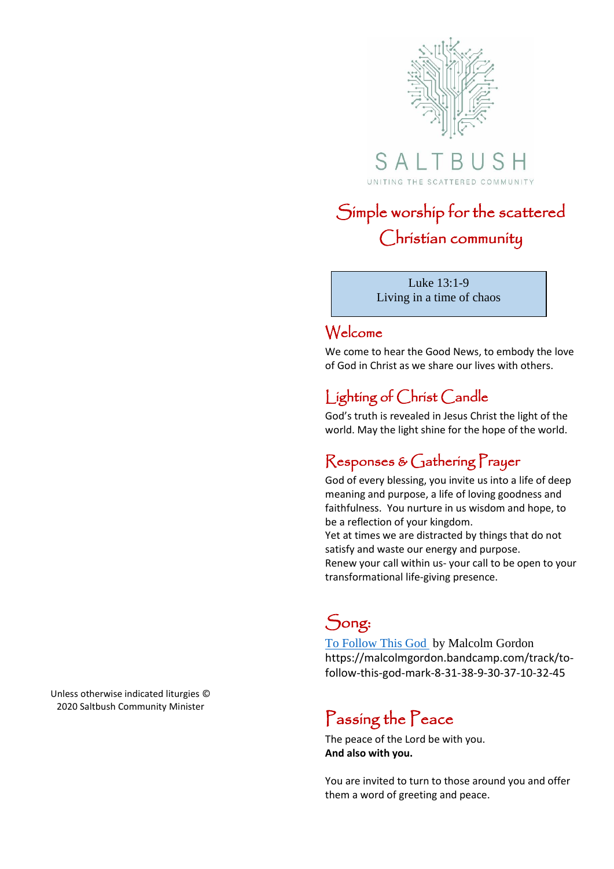

SALT  $\mathbb B$ UNITING THE SCATTERED COMMUNITY

# Simple worship for the scattered Christian community

Luke 13:1-9 Living in a time of chaos

#### Welcome

We come to hear the Good News, to embody the love of God in Christ as we share our lives with others.

## Lighting of Christ Candle

God's truth is revealed in Jesus Christ the light of the world. May the light shine for the hope of the world.

## Responses & Gathering Prayer

transformational life-giving presence.

God of every blessing, you invite us into a life of deep meaning and purpose, a life of loving goodness and faithfulness. You nurture in us wisdom and hope, to be a reflection of your kingdom. Yet at times we are distracted by things that do not satisfy and waste our energy and purpose. Renew your call within us- your call to be open to your

# Song:

[To Follow This God](https://malcolmgordon.bandcamp.com/track/to-follow-this-god-mark-8-31-38-9-30-37-10-32-45) by Malcolm Gordon https://malcolmgordon.bandcamp.com/track/tofollow-this-god-mark-8-31-38-9-30-37-10-32-45

# Passing the Peace

The peace of the Lord be with you. **And also with you.**

You are invited to turn to those around you and offer them a word of greeting and peace.

Unless otherwise indicated liturgies © 2020 Saltbush Community Minister